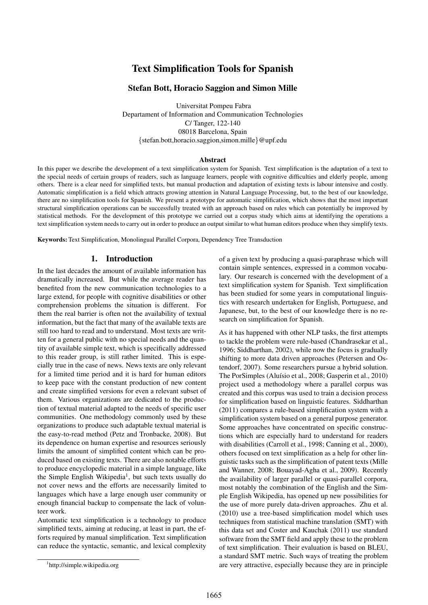# Text Simplification Tools for Spanish

### Stefan Bott, Horacio Saggion and Simon Mille

Universitat Pompeu Fabra Departament of Information and Communication Technologies C/ Tanger, 122-140 08018 Barcelona, Spain {stefan.bott,horacio.saggion,simon.mille}@upf.edu

#### Abstract

In this paper we describe the development of a text simplification system for Spanish. Text simplification is the adaptation of a text to the special needs of certain groups of readers, such as language learners, people with cognitive difficulties and elderly people, among others. There is a clear need for simplified texts, but manual production and adaptation of existing texts is labour intensive and costly. Automatic simplification is a field which attracts growing attention in Natural Language Processing, but, to the best of our knowledge, there are no simplification tools for Spanish. We present a prototype for automatic simplification, which shows that the most important structural simplification operations can be successfully treated with an approach based on rules which can potentially be improved by statistical methods. For the development of this prototype we carried out a corpus study which aims at identifying the operations a text simplification system needs to carry out in order to produce an output similar to what human editors produce when they simplify texts.

Keywords: Text Simplification, Monolingual Parallel Corpora, Dependency Tree Transduction

### 1. Introduction

In the last decades the amount of available information has dramatically increased. But while the average reader has benefited from the new communication technologies to a large extend, for people with cognitive disabilities or other comprehension problems the situation is different. For them the real barrier is often not the availability of textual information, but the fact that many of the available texts are still too hard to read and to understand. Most texts are written for a general public with no special needs and the quantity of available simple text, which is specifically addressed to this reader group, is still rather limited. This is especially true in the case of news. News texts are only relevant for a limited time period and it is hard for human editors to keep pace with the constant production of new content and create simplified versions for even a relevant subset of them. Various organizations are dedicated to the production of textual material adapted to the needs of specific user communities. One methodology commonly used by these organizations to produce such adaptable textual material is the easy-to-read method (Petz and Tronbacke, 2008). But its dependence on human expertise and resources seriously limits the amount of simplified content which can be produced based on existing texts. There are also notable efforts to produce encyclopedic material in a simple language, like the Simple English Wikipedia<sup>1</sup>, but such texts usually do not cover news and the efforts are necessarily limited to languages which have a large enough user community or enough financial backup to compensate the lack of volunteer work.

Automatic text simplification is a technology to produce simplified texts, aiming at reducing, at least in part, the efforts required by manual simplification. Text simplification can reduce the syntactic, semantic, and lexical complexity

of a given text by producing a quasi-paraphrase which will contain simple sentences, expressed in a common vocabulary. Our research is concerned with the development of a text simplification system for Spanish. Text simplification has been studied for some years in computational linguistics with research undertaken for English, Portuguese, and Japanese, but, to the best of our knowledge there is no research on simplification for Spanish.

As it has happened with other NLP tasks, the first attempts to tackle the problem were rule-based (Chandrasekar et al., 1996; Siddharthan, 2002), while now the focus is gradually shifting to more data driven approaches (Petersen and Ostendorf, 2007). Some researchers pursue a hybrid solution. The PorSimples (Aluísio et al., 2008; Gasperin et al., 2010) project used a methodology where a parallel corpus was created and this corpus was used to train a decision process for simplification based on linguistic features. Siddharthan (2011) compares a rule-based simplification system with a simplification system based on a general purpose generator. Some approaches have concentrated on specific constructions which are especially hard to understand for readers with disabilities (Carroll et al., 1998; Canning et al., 2000), others focused on text simplification as a help for other linguistic tasks such as the simplification of patent texts (Mille and Wanner, 2008; Bouayad-Agha et al., 2009). Recently the availability of larger parallel or quasi-parallel corpora, most notably the combination of the English and the Simple English Wikipedia, has opened up new possibilities for the use of more purely data-driven approaches. Zhu et al. (2010) use a tree-based simplification model which uses techniques from statistical machine translation (SMT) with this data set and Coster and Kauchak (2011) use standard software from the SMT field and apply these to the problem of text simplification. Their evaluation is based on BLEU, a standard SMT metric. Such ways of treating the problem are very attractive, especially because they are in principle

<sup>1</sup> http://simple.wikipedia.org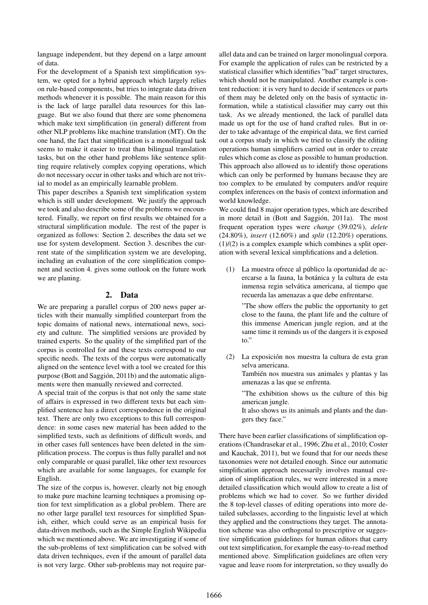language independent, but they depend on a large amount of data.

For the development of a Spanish text simplification system, we opted for a hybrid approach which largely relies on rule-based components, but tries to integrate data driven methods whenever it is possible. The main reason for this is the lack of large parallel data resources for this language. But we also found that there are some phenomena which make text simplification (in general) different from other NLP problems like machine translation (MT). On the one hand, the fact that simplification is a monolingual task seems to make it easier to treat than bilingual translation tasks, but on the other hand problems like sentence splitting require relatively complex copying operations, which do not necessary occur in other tasks and which are not trivial to model as an empirically learnable problem.

This paper describes a Spanish text simplification system which is still under development. We justify the approach we took and also describe some of the problems we encountered. Finally, we report on first results we obtained for a structural simplification module. The rest of the paper is organized as follows: Section 2. describes the data set we use for system development. Section 3. describes the current state of the simplification system we are developing, including an evaluation of the core simplification component and section 4. gives some outlook on the future work we are planing.

### 2. Data

We are preparing a parallel corpus of 200 news paper articles with their manually simplified counterpart from the topic domains of national news, international news, society and culture. The simplified versions are provided by trained experts. So the quality of the simplified part of the corpus is controlled for and these texts correspond to our specific needs. The texts of the corpus were automatically aligned on the sentence level with a tool we created for this purpose (Bott and Saggion, 2011b) and the automatic align- ´ ments were then manually reviewed and corrected.

A special trait of the corpus is that not only the same state of affairs is expressed in two different texts but each simplified sentence has a direct correspondence in the original text. There are only two exceptions to this full correspondence: in some cases new material has been added to the simplified texts, such as definitions of difficult words, and in other cases full sentences have been deleted in the simplification process. The corpus is thus fully parallel and not only comparable or quasi parallel, like other text resources which are available for some languages, for example for English.

The size of the corpus is, however, clearly not big enough to make pure machine learning techniques a promising option for text simplification as a global problem. There are no other large parallel text resources for simplified Spanish, either, which could serve as an empirical basis for data-driven methods, such as the Simple English Wikipedia which we mentioned above. We are investigating if some of the sub-problems of text simplification can be solved with data driven techniques, even if the amount of parallel data is not very large. Other sub-problems may not require parallel data and can be trained on larger monolingual corpora. For example the application of rules can be restricted by a statistical classifier which identifies "bad" target structures, which should not be manipulated. Another example is content reduction: it is very hard to decide if sentences or parts of them may be deleted only on the basis of syntactic information, while a statistical classifier may carry out this task. As we already mentioned, the lack of parallel data made us opt for the use of hand crafted rules. But in order to take advantage of the empirical data, we first carried out a corpus study in which we tried to classify the editing operations human simplifiers carried out in order to create rules which come as close as possible to human production. This approach also allowed us to identify those operations which can only be performed by humans because they are too complex to be emulated by computers and/or require complex inferences on the basis of context information and world knowledge.

We could find 8 major operation types, which are described in more detail in (Bott and Saggión, 2011a). The most frequent operation types were *change* (39.02%), *delete* (24.80%), *insert* (12.60%) and *split* (12.20%) operations.  $(1)/(2)$  is a complex example which combines a split operation with several lexical simplifications and a deletion.

(1) La muestra ofrece al publico la oportunidad de ac- ´ ercarse a la fauna, la botanica y la cultura de esta ´ inmensa regin selvatica americana, al tiempo que ´ recuerda las amenazas a que debe enfrentarse.

"The show offers the public the opportunity to get close to the fauna, the plant life and the culture of this immense American jungle region, and at the same time it reminds us of the dangers it is exposed to."

(2) La exposicion nos muestra la cultura de esta gran ´ selva americana. Tambien nos muestra sus animales y plantas y las ´

amenazas a las que se enfrenta. "The exhibition shows us the culture of this big

american jungle.

It also shows us its animals and plants and the dangers they face."

There have been earlier classifications of simplification operations (Chandrasekar et al., 1996; Zhu et al., 2010; Coster and Kauchak, 2011), but we found that for our needs these taxonomies were not detailed enough. Since our automatic simplification approach necessarily involves manual creation of simplification rules, we were interested in a more detailed classification which would allow to create a list of problems which we had to cover. So we further divided the 8 top-level classes of editing operations into more detailed subclasses, according to the linguistic level at which they applied and the constructions they target. The annotation scheme was also orthogonal to prescriptive or suggestive simplification guidelines for human editors that carry out text simplification, for example the easy-to-read method mentioned above. Simplification guidelines are often very vague and leave room for interpretation, so they usually do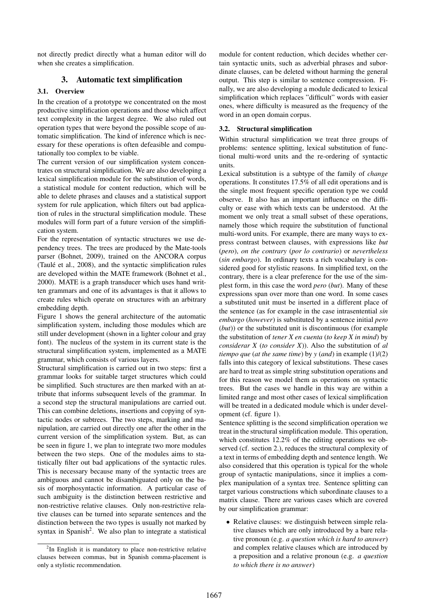not directly predict directly what a human editor will do when she creates a simplification.

## 3. Automatic text simplification

### 3.1. Overview

In the creation of a prototype we concentrated on the most productive simplification operations and those which affect text complexity in the largest degree. We also ruled out operation types that were beyond the possible scope of automatic simplification. The kind of inference which is necessary for these operations is often defeasible and computationally too complex to be viable.

The current version of our simplification system concentrates on structural simplification. We are also developing a lexical simplification module for the substitution of words, a statistical module for content reduction, which will be able to delete phrases and clauses and a statistical support system for rule application, which filters out bad application of rules in the structural simplification module. These modules will form part of a future version of the simplification system.

For the representation of syntactic structures we use dependency trees. The trees are produced by the Mate-tools parser (Bohnet, 2009), trained on the ANCORA corpus (Taulé et al., 2008), and the syntactic simplification rules are developed within the MATE framework (Bohnet et al., 2000). MATE is a graph transducer which uses hand written grammars and one of its advantages is that it allows to create rules which operate on structures with an arbitrary embedding depth.

Figure 1 shows the general architecture of the automatic simplification system, including those modules which are still under development (shown in a lighter colour and gray font). The nucleus of the system in its current state is the structural simplification system, implemented as a MATE grammar, which consists of various layers.

Structural simplification is carried out in two steps: first a grammar looks for suitable target structures which could be simplified. Such structures are then marked with an attribute that informs subsequent levels of the grammar. In a second step the structural manipulations are carried out. This can combine deletions, insertions and copying of syntactic nodes or subtrees. The two steps, marking and manipulation, are carried out directly one after the other in the current version of the simplification system. But, as can be seen in figure 1, we plan to integrate two more modules between the two steps. One of the modules aims to statistically filter out bad applications of the syntactic rules. This is necessary because many of the syntactic trees are ambiguous and cannot be disambiguated only on the basis of morphosyntactic information. A particular case of such ambiguity is the distinction between restrictive and non-restrictive relative clauses. Only non-restrictive relative clauses can be turned into separate sentences and the distinction between the two types is usually not marked by syntax in Spanish<sup>2</sup>. We also plan to integrate a statistical

module for content reduction, which decides whether certain syntactic units, such as adverbial phrases and subordinate clauses, can be deleted without harming the general output. This step is similar to sentence compression. Finally, we are also developing a module dedicated to lexical simplification which replaces "difficult" words with easier ones, where difficulty is measured as the frequency of the word in an open domain corpus.

### 3.2. Structural simplification

Within structural simplification we treat three groups of problems: sentence splitting, lexical substitution of functional multi-word units and the re-ordering of syntactic units.

Lexical substitution is a subtype of the family of *change* operations. It constitutes 17.5% of all edit operations and is the single most frequent specific operation type we could observe. It also has an important influence on the difficulty or ease with which texts can be understood. At the moment we only treat a small subset of these operations, namely those which require the substitution of functional multi-word units. For example, there are many ways to express contrast between clauses, with expressions like *but* (*pero*), *on the contrary* (*por lo contrario*) or *nevertheless* (*sin embargo*). In ordinary texts a rich vocabulary is considered good for stylistic reasons. In simplified text, on the contrary, there is a clear preference for the use of the simplest form, in this case the word *pero* (*but*). Many of these expressions span over more than one word. In some cases a substituted unit must be inserted in a different place of the sentence (as for example in the case intrasentential *sin embargo* (*however*) is substituted by a sentence initial *pero* (*but*)) or the substituted unit is discontinuous (for example the substitution of *tener X en cuenta* (*to keep X in mind*) by *considerar X* (*to consider X*)). Also the substitution of *al tiempo que* (*at the same time*) by *y* (*and*) in example (1)/(2) falls into this category of lexical substitutions. These cases are hard to treat as simple string substitution operations and for this reason we model them as operations on syntactic trees. But the cases we handle in this way are within a limited range and most other cases of lexical simplification will be treated in a dedicated module which is under development (cf. figure 1).

Sentence splitting is the second simplification operation we treat in the structural simplification module. This operation, which constitutes 12.2% of the editing operations we observed (cf. section 2.), reduces the structural complexity of a text in terms of embedding depth and sentence length. We also considered that this operation is typical for the whole group of syntactic manipulations, since it implies a complex manipulation of a syntax tree. Sentence splitting can target various constructions which subordinate clauses to a matrix clause. There are various cases which are covered by our simplification grammar:

• Relative clauses: we distinguish between simple relative clauses which are only introduced by a bare relative pronoun (e.g. *a question which is hard to answer*) and complex relative clauses which are introduced by a preposition and a relative pronoun (e.g. *a question to which there is no answer*)

<sup>&</sup>lt;sup>2</sup>In English it is mandatory to place non-restrictive relative clauses between commas, but in Spanish comma-placement is only a stylistic recommendation.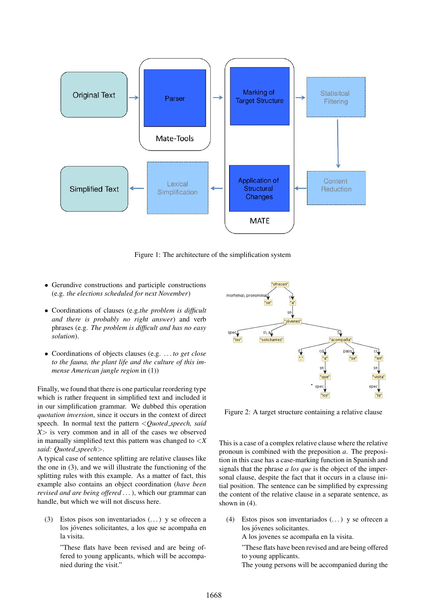

Figure 1: The architecture of the simplification system

- Gerundive constructions and participle constructions (e.g. *the elections scheduled for next November*)
- Coordinations of clauses (e.g.*the problem is difficult and there is probably no right answer*) and verb phrases (e.g. *The problem is difficult and has no easy solution*).
- Coordinations of objects clauses (e.g. *. . . to get close to the fauna, the plant life and the culture of this immense American jungle region* in (1))

Finally, we found that there is one particular reordering type which is rather frequent in simplified text and included it in our simplification grammar. We dubbed this operation *quotation inversion*, since it occurs in the context of direct speech. In normal text the pattern <*Quoted speech, said X*> is very common and in all of the cases we observed in manually simplified text this pattern was changed to <*X said: Quoted speech*>.

A typical case of sentence splitting are relative clauses like the one in (3), and we will illustrate the functioning of the splitting rules with this example. As a matter of fact, this example also contains an object coordination (*have been revised and are being offered . . .*), which our grammar can handle, but which we will not discuss here.

(3) Estos pisos son inventariados  $(\dots)$  y se ofrecen a los jóvenes solicitantes, a los que se acompaña en la visita.

"These flats have been revised and are being offered to young applicants, which will be accompanied during the visit."



Figure 2: A target structure containing a relative clause

This is a case of a complex relative clause where the relative pronoun is combined with the preposition *a*. The preposition in this case has a case-marking function in Spanish and signals that the phrase *a los que* is the object of the impersonal clause, despite the fact that it occurs in a clause initial position. The sentence can be simplified by expressing the content of the relative clause in a separate sentence, as shown in (4).

(4) Estos pisos son inventariados  $(\dots)$  y se ofrecen a los jóvenes solicitantes.

A los jovenes se acompaña en la visita.

"These flats have been revised and are being offered to young applicants.

The young persons will be accompanied during the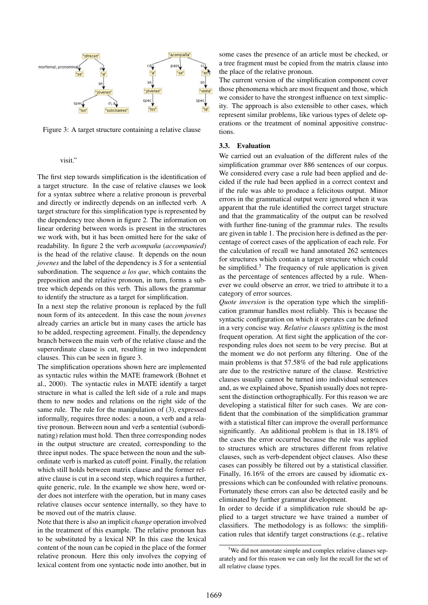

Figure 3: A target structure containing a relative clause

#### visit."

The first step towards simplification is the identification of a target structure. In the case of relative clauses we look for a syntax subtree where a relative pronoun is preverbal and directly or indirectly depends on an inflected verb. A target structure for this simplification type is represented by the dependency tree shown in figure 2. The information on linear ordering between words is present in the structures we work with, but it has been omitted here for the sake of readability. In figure 2 the verb *acompaña* (*accompanied*) is the head of the relative clause. It depends on the noun *jovenes* and the label of the dependency is *S* for a sentential subordination. The sequence *a los que*, which contains the preposition and the relative pronoun, in turn, forms a subtree which depends on this verb. This allows the grammar to identify the structure as a target for simplification.

In a next step the relative pronoun is replaced by the full noun form of its antecedent. In this case the noun *jovenes* already carries an article but in many cases the article has to be added, respecting agreement. Finally, the dependency branch between the main verb of the relative clause and the superordinate clause is cut, resulting in two independent clauses. This can be seen in figure 3.

The simplification operations shown here are implemented as syntactic rules within the MATE framework (Bohnet et al., 2000). The syntactic rules in MATE identify a target structure in what is called the left side of a rule and maps them to new nodes and relations on the right side of the same rule. The rule for the manipulation of (3), expressed informally, requires three nodes: a noun, a verb and a relative pronoun. Between noun and verb a sentential (subordinating) relation must hold. Then three corresponding nodes in the output structure are created, corresponding to the three input nodes. The space between the noun and the subordinate verb is marked as cutoff point. Finally, the relation which still holds between matrix clause and the former relative clause is cut in a second step, which requires a further, quite generic, rule. In the example we show here, word order does not interfere with the operation, but in many cases relative clauses occur sentence internally, so they have to be moved out of the matrix clause.

Note that there is also an implicit *change* operation involved in the treatment of this example. The relative pronoun has to be substituted by a lexical NP. In this case the lexical content of the noun can be copied in the place of the former relative pronoun. Here this only involves the copying of lexical content from one syntactic node into another, but in some cases the presence of an article must be checked, or a tree fragment must be copied from the matrix clause into the place of the relative pronoun.

The current version of the simplification component cover those phenomena which are most frequent and those, which we consider to have the strongest influence on text simplicity. The approach is also extensible to other cases, which represent similar problems, like various types of delete operations or the treatment of nominal appositive constructions.

#### 3.3. Evaluation

We carried out an evaluation of the different rules of the simplification grammar over 886 sentences of our corpus. We considered every case a rule had been applied and decided if the rule had been applied in a correct context and if the rule was able to produce a felicitous output. Minor errors in the grammatical output were ignored when it was apparent that the rule identified the correct target structure and that the grammaticality of the output can be resolved with further fine-tuning of the grammar rules. The results are given in table 1. The precision here is defined as the percentage of correct cases of the application of each rule. For the calculation of recall we hand annotated 262 sentences for structures which contain a target structure which could be simplified.<sup>3</sup> The frequency of rule application is given as the percentage of sentences affected by a rule. Whenever we could observe an error, we tried to attribute it to a category of error sources.

*Quote inversion* is the operation type which the simplification grammar handles most reliably. This is because the syntactic configuration on which it operates can be defined in a very concise way. *Relative clauses splitting* is the most frequent operation. At first sight the application of the corresponding rules does not seem to be very precise. But at the moment we do not perform any filtering. One of the main problems is that 57.58% of the bad rule applications are due to the restrictive nature of the clause. Restrictive clauses usually cannot be turned into individual sentences and, as we explained above, Spanish usually does not represent the distinction orthographically. For this reason we are developing a statistical filter for such cases. We are confident that the combination of the simplification grammar with a statistical filter can improve the overall performance significantly. An additional problem is that in 18.18% of the cases the error occurred because the rule was applied to structures which are structures different from relative clauses, such as verb-dependent object clauses. Also these cases can possibly be filtered out by a statistical classifier. Finally, 16.16% of the errors are caused by idiomatic expressions which can be confounded with relative pronouns. Fortunately these errors can also be detected easily and be eliminated by further grammar development.

In order to decide if a simplification rule should be applied to a target structure we have trained a number of classifiers. The methodology is as follows: the simplification rules that identify target constructions (e.g., relative

<sup>&</sup>lt;sup>3</sup>We did not annotate simple and complex relative clauses separately and for this reason we can only list the recall for the set of all relative clause types.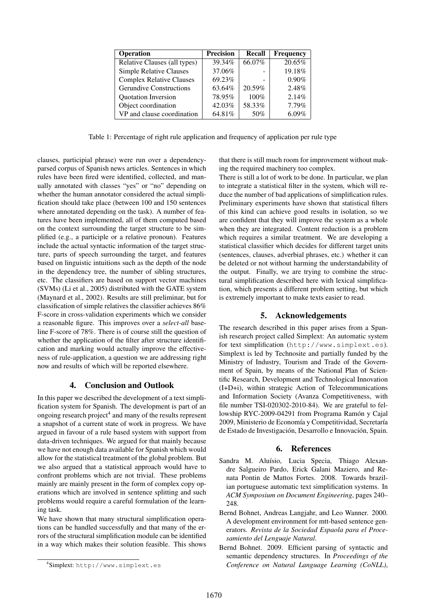| <b>Operation</b>                | <b>Precision</b> | Recall | <b>Frequency</b> |
|---------------------------------|------------------|--------|------------------|
| Relative Clauses (all types)    | 39.34%           | 66.07% | 20.65%           |
| <b>Simple Relative Clauses</b>  | 37.06%           |        | 19.18%           |
| <b>Complex Relative Clauses</b> | 69.23%           |        | 0.90%            |
| <b>Gerundive Constructions</b>  | 63.64%           | 20.59% | 2.48%            |
| Quotation Inversion             | 78.95%           | 100%   | 2.14%            |
| Object coordination             | 42.03%           | 58.33% | 7.79%            |
| VP and clause coordination      | 64.81%           | 50%    | $6.09\%$         |

Table 1: Percentage of right rule application and frequency of application per rule type

clauses, participial phrase) were run over a dependencyparsed corpus of Spanish news articles. Sentences in which rules have been fired were identified, collected, and manually annotated with classes "yes" or "no" depending on whether the human annotator considered the actual simplification should take place (between 100 and 150 sentences where annotated depending on the task). A number of features have been implemented, all of them computed based on the context surrounding the target structure to be simplified (e.g., a participle or a relative pronoun). Features include the actual syntactic information of the target structure, parts of speech surrounding the target, and features based on linguistic intuitions such as the depth of the node in the dependency tree, the number of sibling structures, etc. The classifiers are based on support vector machines (SVMs) (Li et al., 2005) distributed with the GATE system (Maynard et al., 2002). Results are still preliminar, but for classification of simple relatives the classifier achieves 86% F-score in cross-validation experiments which we consider a reasonable figure. This improves over a *select-all* baseline F-score of 78%. There is of course still the question of whether the application of the filter after structure identification and marking would actually improve the effectiveness of rule-application, a question we are addressing right now and results of which will be reported elsewhere.

### 4. Conclusion and Outlook

In this paper we described the development of a text simplification system for Spanish. The development is part of an ongoing research project $4$  and many of the results represent a snapshot of a current state of work in progress. We have argued in favour of a rule based system with support from data-driven techniques. We argued for that mainly because we have not enough data available for Spanish which would allow for the statistical treatment of the global problem. But we also argued that a statistical approach would have to confront problems which are not trivial. These problems mainly are mainly present in the form of complex copy operations which are involved in sentence splitting and such problems would require a careful formulation of the learning task.

We have shown that many structural simplification operations can be handled successfully and that many of the errors of the structural simplification module can be identified in a way which makes their solution feasible. This shows that there is still much room for improvement without making the required machinery too complex.

There is still a lot of work to be done. In particular, we plan to integrate a statistical filter in the system, which will reduce the number of bad applications of simplification rules. Preliminary experiments have shown that statistical filters of this kind can achieve good results in isolation, so we are confident that they will improve the system as a whole when they are integrated. Content reduction is a problem which requires a similar treatment. We are developing a statistical classifier which decides for different target units (sentences, clauses, adverbial phrases, etc.) whether it can be deleted or not without harming the understandability of the output. Finally, we are trying to combine the structural simplification described here with lexical simplification, which presents a different problem setting, but which is extremely important to make texts easier to read.

#### 5. Acknowledgements

The research described in this paper arises from a Spanish research project called Simplext: An automatic system for text simplification (http://www.simplext.es). Simplext is led by Technosite and partially funded by the Ministry of Industry, Tourism and Trade of the Government of Spain, by means of the National Plan of Scientific Research, Development and Technological Innovation (I+D+i), within strategic Action of Telecommunications and Information Society (Avanza Competitiveness, with file number TSI-020302-2010-84). We are grateful to fellowship RYC-2009-04291 from Programa Ramón y Cajal 2009, Ministerio de Economía y Competitividad, Secretaría de Estado de Investigación, Desarrollo e Innovación, Spain.

#### 6. References

- Sandra M. Aluísio, Lucia Specia, Thiago Alexandre Salgueiro Pardo, Erick Galani Maziero, and Renata Pontin de Mattos Fortes. 2008. Towards brazilian portuguese automatic text simplification systems. In *ACM Symposium on Document Engineering*, pages 240– 248.
- Bernd Bohnet, Andreas Langjahr, and Leo Wanner. 2000. A development environment for mtt-based sentence generators. *Revista de la Sociedad Espaola para el Procesamiento del Lenguaje Natural*.
- Bernd Bohnet. 2009. Efficient parsing of syntactic and semantic dependency structures. In *Proceedings of the Conference on Natural Language Learning (CoNLL)*,

<sup>4</sup> Simplext: http://www.simplext.es